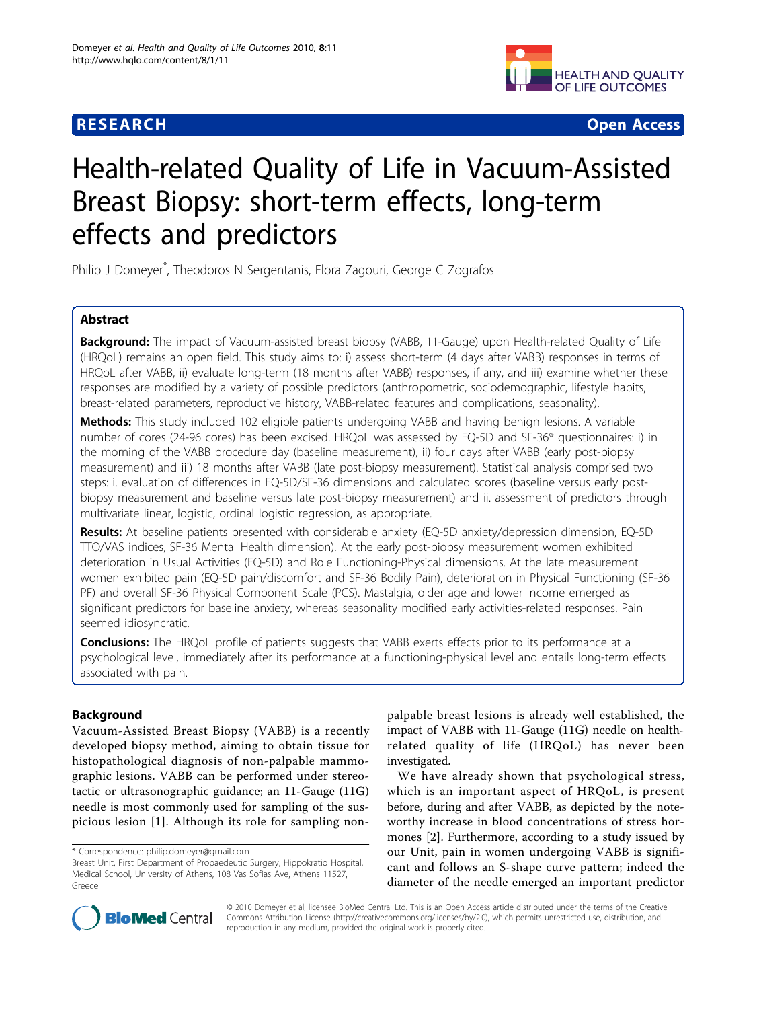# **RESEARCH CONSTRUCTION CONTROL**



# Health-related Quality of Life in Vacuum-Assisted Breast Biopsy: short-term effects, long-term effects and predictors

Philip J Domeyer\* , Theodoros N Sergentanis, Flora Zagouri, George C Zografos

# Abstract

**Background:** The impact of Vacuum-assisted breast biopsy (VABB, 11-Gauge) upon Health-related Quality of Life (HRQoL) remains an open field. This study aims to: i) assess short-term (4 days after VABB) responses in terms of HRQoL after VABB, ii) evaluate long-term (18 months after VABB) responses, if any, and iii) examine whether these responses are modified by a variety of possible predictors (anthropometric, sociodemographic, lifestyle habits, breast-related parameters, reproductive history, VABB-related features and complications, seasonality).

Methods: This study included 102 eligible patients undergoing VABB and having benign lesions. A variable number of cores (24-96 cores) has been excised. HRQoL was assessed by EQ-5D and SF-36® questionnaires: i) in the morning of the VABB procedure day (baseline measurement), ii) four days after VABB (early post-biopsy measurement) and iii) 18 months after VABB (late post-biopsy measurement). Statistical analysis comprised two steps: i. evaluation of differences in EQ-5D/SF-36 dimensions and calculated scores (baseline versus early postbiopsy measurement and baseline versus late post-biopsy measurement) and ii. assessment of predictors through multivariate linear, logistic, ordinal logistic regression, as appropriate.

Results: At baseline patients presented with considerable anxiety (EQ-5D anxiety/depression dimension, EQ-5D TTO/VAS indices, SF-36 Mental Health dimension). At the early post-biopsy measurement women exhibited deterioration in Usual Activities (EQ-5D) and Role Functioning-Physical dimensions. At the late measurement women exhibited pain (EQ-5D pain/discomfort and SF-36 Bodily Pain), deterioration in Physical Functioning (SF-36 PF) and overall SF-36 Physical Component Scale (PCS). Mastalgia, older age and lower income emerged as significant predictors for baseline anxiety, whereas seasonality modified early activities-related responses. Pain seemed idiosyncratic.

**Conclusions:** The HRQoL profile of patients suggests that VABB exerts effects prior to its performance at a psychological level, immediately after its performance at a functioning-physical level and entails long-term effects associated with pain.

# Background

Vacuum-Assisted Breast Biopsy (VABB) is a recently developed biopsy method, aiming to obtain tissue for histopathological diagnosis of non-palpable mammographic lesions. VABB can be performed under stereotactic or ultrasonographic guidance; an 11-Gauge (11G) needle is most commonly used for sampling of the suspicious lesion [[1](#page-9-0)]. Although its role for sampling non-

palpable breast lesions is already well established, the impact of VABB with 11-Gauge (11G) needle on healthrelated quality of life (HRQoL) has never been investigated.

We have already shown that psychological stress, which is an important aspect of HRQoL, is present before, during and after VABB, as depicted by the noteworthy increase in blood concentrations of stress hormones [[2\]](#page-9-0). Furthermore, according to a study issued by our Unit, pain in women undergoing VABB is significant and follows an S-shape curve pattern; indeed the diameter of the needle emerged an important predictor



© 2010 Domeyer et al; licensee BioMed Central Ltd. This is an Open Access article distributed under the terms of the Creative Commons Attribution License [\(http://creativecommons.org/licenses/by/2.0](http://creativecommons.org/licenses/by/2.0)), which permits unrestricted use, distribution, and reproduction in any medium, provided the original work is properly cited.

<sup>\*</sup> Correspondence: [philip.domeyer@gmail.com](mailto:philip.domeyer@gmail.com)

Breast Unit, First Department of Propaedeutic Surgery, Hippokratio Hospital, Medical School, University of Athens, 108 Vas Sofias Ave, Athens 11527, Greece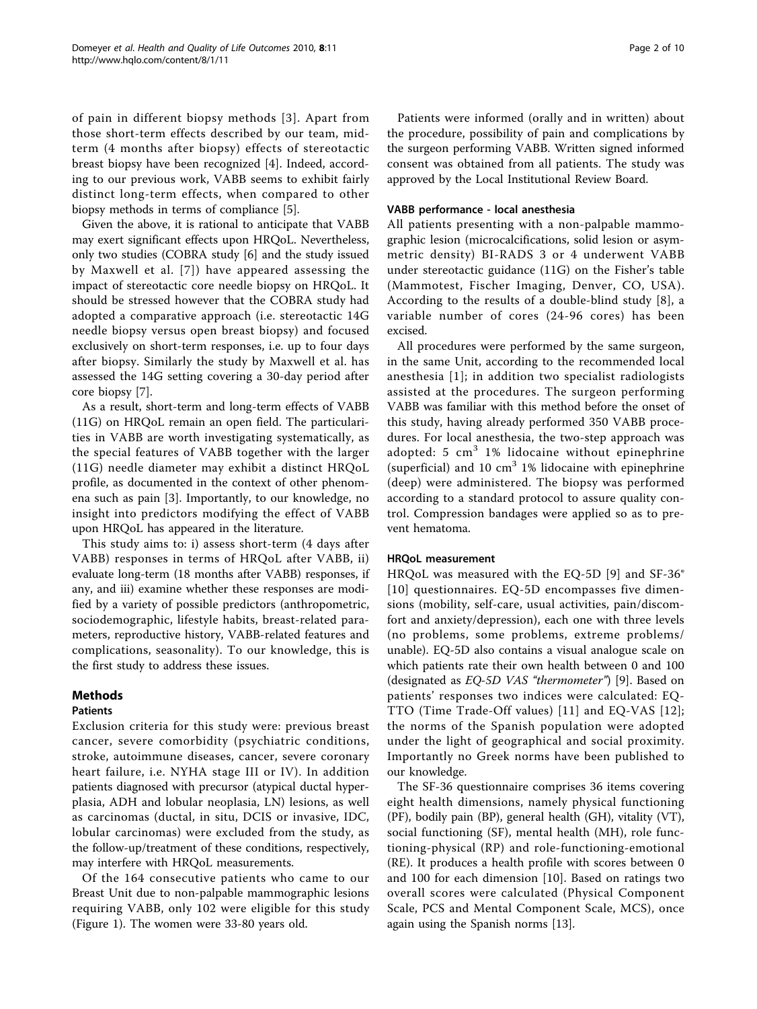of pain in different biopsy methods [[3](#page-9-0)]. Apart from those short-term effects described by our team, midterm (4 months after biopsy) effects of stereotactic breast biopsy have been recognized [[4\]](#page-9-0). Indeed, according to our previous work, VABB seems to exhibit fairly distinct long-term effects, when compared to other biopsy methods in terms of compliance [[5\]](#page-9-0).

Given the above, it is rational to anticipate that VABB may exert significant effects upon HRQoL. Nevertheless, only two studies (COBRA study [[6\]](#page-9-0) and the study issued by Maxwell et al. [[7](#page-9-0)]) have appeared assessing the impact of stereotactic core needle biopsy on HRQoL. It should be stressed however that the COBRA study had adopted a comparative approach (i.e. stereotactic 14G needle biopsy versus open breast biopsy) and focused exclusively on short-term responses, i.e. up to four days after biopsy. Similarly the study by Maxwell et al. has assessed the 14G setting covering a 30-day period after core biopsy [[7\]](#page-9-0).

As a result, short-term and long-term effects of VABB (11G) on HRQoL remain an open field. The particularities in VABB are worth investigating systematically, as the special features of VABB together with the larger (11G) needle diameter may exhibit a distinct HRQoL profile, as documented in the context of other phenomena such as pain [[3\]](#page-9-0). Importantly, to our knowledge, no insight into predictors modifying the effect of VABB upon HRQoL has appeared in the literature.

This study aims to: i) assess short-term (4 days after VABB) responses in terms of HRQoL after VABB, ii) evaluate long-term (18 months after VABB) responses, if any, and iii) examine whether these responses are modified by a variety of possible predictors (anthropometric, sociodemographic, lifestyle habits, breast-related parameters, reproductive history, VABB-related features and complications, seasonality). To our knowledge, this is the first study to address these issues.

# Methods

### Patients

Exclusion criteria for this study were: previous breast cancer, severe comorbidity (psychiatric conditions, stroke, autoimmune diseases, cancer, severe coronary heart failure, i.e. NYHA stage III or IV). In addition patients diagnosed with precursor (atypical ductal hyperplasia, ADH and lobular neoplasia, LN) lesions, as well as carcinomas (ductal, in situ, DCIS or invasive, IDC, lobular carcinomas) were excluded from the study, as the follow-up/treatment of these conditions, respectively, may interfere with HRQoL measurements.

Of the 164 consecutive patients who came to our Breast Unit due to non-palpable mammographic lesions requiring VABB, only 102 were eligible for this study (Figure [1\)](#page-2-0). The women were 33-80 years old.

Patients were informed (orally and in written) about the procedure, possibility of pain and complications by the surgeon performing VABB. Written signed informed consent was obtained from all patients. The study was approved by the Local Institutional Review Board.

#### VABB performance - local anesthesia

All patients presenting with a non-palpable mammographic lesion (microcalcifications, solid lesion or asymmetric density) BI-RADS 3 or 4 underwent VABB under stereotactic guidance (11G) on the Fisher's table (Mammotest, Fischer Imaging, Denver, CO, USA). According to the results of a double-blind study [[8\]](#page-9-0), a variable number of cores (24-96 cores) has been excised.

All procedures were performed by the same surgeon, in the same Unit, according to the recommended local anesthesia [[1](#page-9-0)]; in addition two specialist radiologists assisted at the procedures. The surgeon performing VABB was familiar with this method before the onset of this study, having already performed 350 VABB procedures. For local anesthesia, the two-step approach was adopted: 5  $cm<sup>3</sup>$  1% lidocaine without epinephrine (superficial) and 10  $cm<sup>3</sup>$  1% lidocaine with epinephrine (deep) were administered. The biopsy was performed according to a standard protocol to assure quality control. Compression bandages were applied so as to prevent hematoma.

### HRQoL measurement

HRQoL was measured with the EQ-5D [[9](#page-9-0)] and SF-36® [[10\]](#page-9-0) questionnaires. EQ-5D encompasses five dimensions (mobility, self-care, usual activities, pain/discomfort and anxiety/depression), each one with three levels (no problems, some problems, extreme problems/ unable). EQ-5D also contains a visual analogue scale on which patients rate their own health between 0 and 100 (designated as EQ-5D VAS "thermometer") [\[9](#page-9-0)]. Based on patients' responses two indices were calculated: EQ-TTO (Time Trade-Off values) [[11\]](#page-9-0) and EQ-VAS [[12\]](#page-9-0); the norms of the Spanish population were adopted under the light of geographical and social proximity. Importantly no Greek norms have been published to our knowledge.

The SF-36 questionnaire comprises 36 items covering eight health dimensions, namely physical functioning (PF), bodily pain (BP), general health (GH), vitality (VT), social functioning (SF), mental health (MH), role functioning-physical (RP) and role-functioning-emotional (RE). It produces a health profile with scores between 0 and 100 for each dimension [\[10](#page-9-0)]. Based on ratings two overall scores were calculated (Physical Component Scale, PCS and Mental Component Scale, MCS), once again using the Spanish norms [\[13](#page-9-0)].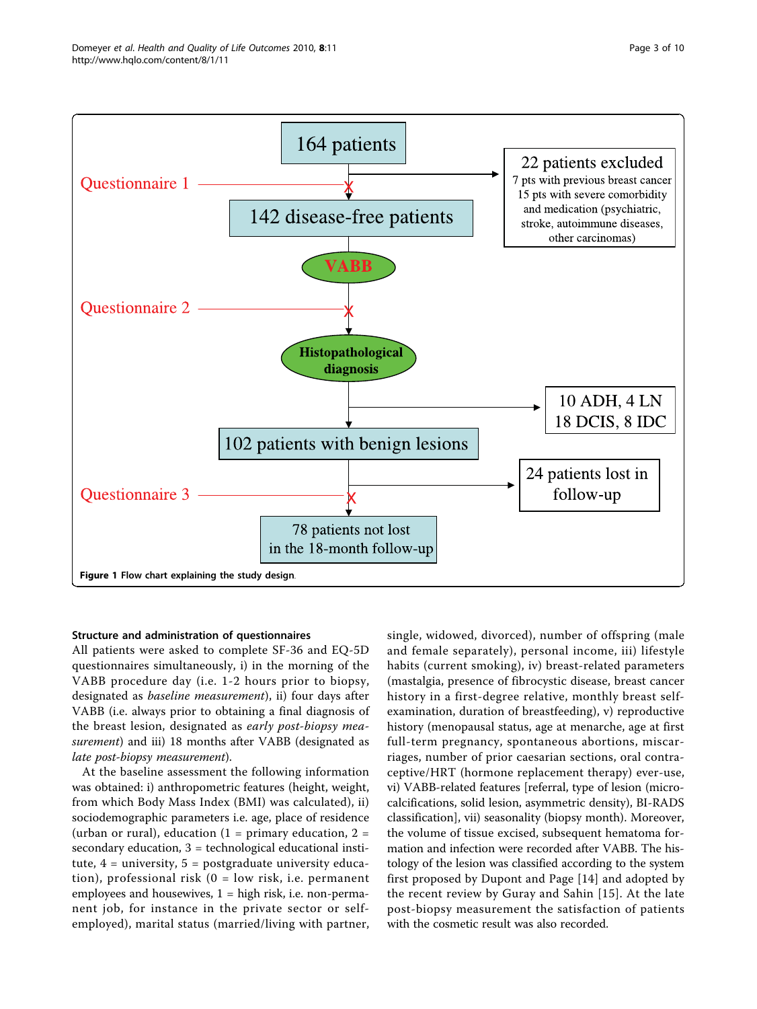<span id="page-2-0"></span>

#### Structure and administration of questionnaires

All patients were asked to complete SF-36 and EQ-5D questionnaires simultaneously, i) in the morning of the VABB procedure day (i.e. 1-2 hours prior to biopsy, designated as baseline measurement), ii) four days after VABB (i.e. always prior to obtaining a final diagnosis of the breast lesion, designated as early post-biopsy measurement) and iii) 18 months after VABB (designated as late post-biopsy measurement).

At the baseline assessment the following information was obtained: i) anthropometric features (height, weight, from which Body Mass Index (BMI) was calculated), ii) sociodemographic parameters i.e. age, place of residence (urban or rural), education (1 = primary education, 2 = secondary education, 3 = technological educational institute,  $4 =$  university,  $5 =$  postgraduate university education), professional risk (0 = low risk, i.e. permanent employees and housewives,  $1 =$  high risk, i.e. non-permanent job, for instance in the private sector or selfemployed), marital status (married/living with partner, single, widowed, divorced), number of offspring (male and female separately), personal income, iii) lifestyle habits (current smoking), iv) breast-related parameters (mastalgia, presence of fibrocystic disease, breast cancer history in a first-degree relative, monthly breast selfexamination, duration of breastfeeding), v) reproductive history (menopausal status, age at menarche, age at first full-term pregnancy, spontaneous abortions, miscarriages, number of prior caesarian sections, oral contraceptive/HRT (hormone replacement therapy) ever-use, vi) VABB-related features [referral, type of lesion (microcalcifications, solid lesion, asymmetric density), BI-RADS classification], vii) seasonality (biopsy month). Moreover, the volume of tissue excised, subsequent hematoma formation and infection were recorded after VABB. The histology of the lesion was classified according to the system first proposed by Dupont and Page [[14\]](#page-9-0) and adopted by the recent review by Guray and Sahin [[15](#page-9-0)]. At the late post-biopsy measurement the satisfaction of patients with the cosmetic result was also recorded.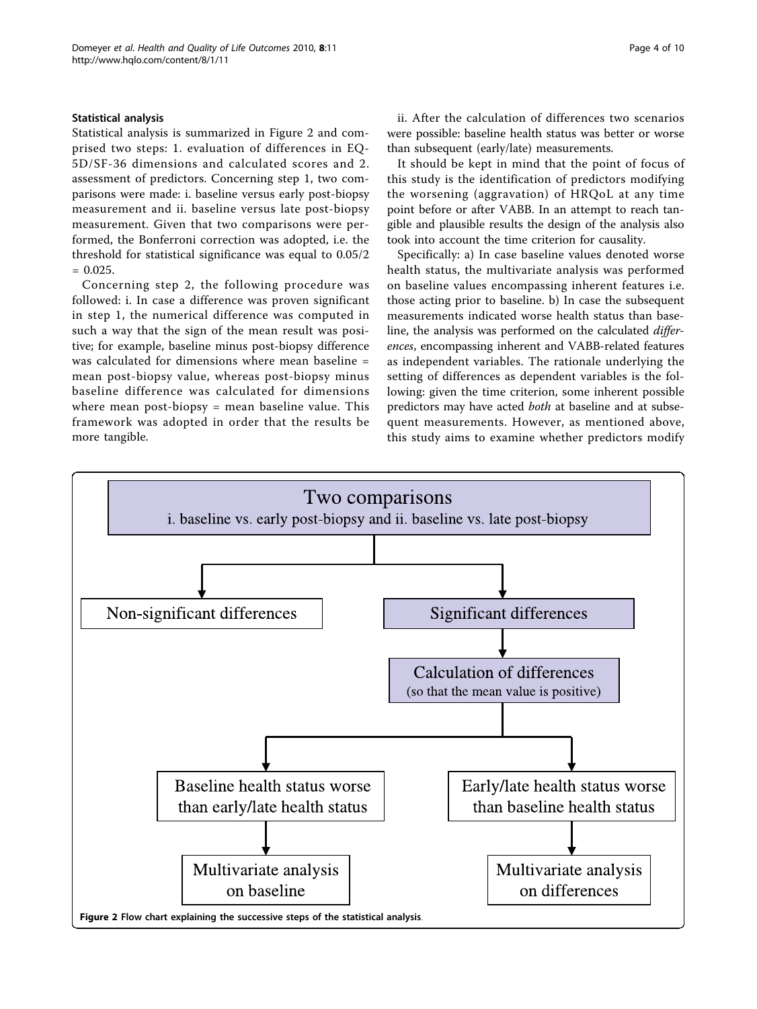#### Statistical analysis

Statistical analysis is summarized in Figure 2 and comprised two steps: 1. evaluation of differences in EQ-5D/SF-36 dimensions and calculated scores and 2. assessment of predictors. Concerning step 1, two comparisons were made: i. baseline versus early post-biopsy measurement and ii. baseline versus late post-biopsy measurement. Given that two comparisons were performed, the Bonferroni correction was adopted, i.e. the threshold for statistical significance was equal to 0.05/2  $= 0.025.$ 

Concerning step 2, the following procedure was followed: i. In case a difference was proven significant in step 1, the numerical difference was computed in such a way that the sign of the mean result was positive; for example, baseline minus post-biopsy difference was calculated for dimensions where mean baseline = mean post-biopsy value, whereas post-biopsy minus baseline difference was calculated for dimensions where mean post-biopsy = mean baseline value. This framework was adopted in order that the results be more tangible.

ii. After the calculation of differences two scenarios were possible: baseline health status was better or worse than subsequent (early/late) measurements.

It should be kept in mind that the point of focus of this study is the identification of predictors modifying the worsening (aggravation) of HRQoL at any time point before or after VABB. In an attempt to reach tangible and plausible results the design of the analysis also took into account the time criterion for causality.

Specifically: a) In case baseline values denoted worse health status, the multivariate analysis was performed on baseline values encompassing inherent features i.e. those acting prior to baseline. b) In case the subsequent measurements indicated worse health status than baseline, the analysis was performed on the calculated differences, encompassing inherent and VABB-related features as independent variables. The rationale underlying the setting of differences as dependent variables is the following: given the time criterion, some inherent possible predictors may have acted both at baseline and at subsequent measurements. However, as mentioned above, this study aims to examine whether predictors modify

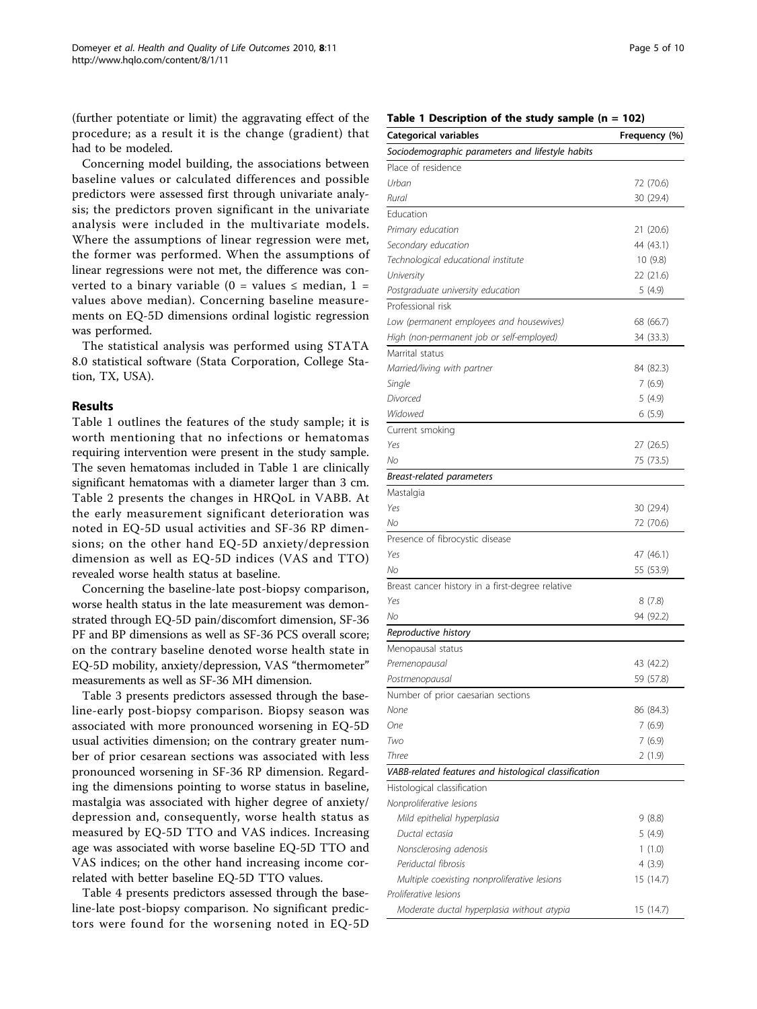(further potentiate or limit) the aggravating effect of the procedure; as a result it is the change (gradient) that had to be modeled.

Concerning model building, the associations between baseline values or calculated differences and possible predictors were assessed first through univariate analysis; the predictors proven significant in the univariate analysis were included in the multivariate models. Where the assumptions of linear regression were met, the former was performed. When the assumptions of linear regressions were not met, the difference was converted to a binary variable (0 = values  $\le$  median, 1 = values above median). Concerning baseline measurements on EQ-5D dimensions ordinal logistic regression was performed.

The statistical analysis was performed using STATA 8.0 statistical software (Stata Corporation, College Station, TX, USA).

#### Results

Table 1 outlines the features of the study sample; it is worth mentioning that no infections or hematomas requiring intervention were present in the study sample. The seven hematomas included in Table 1 are clinically significant hematomas with a diameter larger than 3 cm. Table [2](#page-6-0) presents the changes in HRQoL in VABB. At the early measurement significant deterioration was noted in EQ-5D usual activities and SF-36 RP dimensions; on the other hand EQ-5D anxiety/depression dimension as well as EQ-5D indices (VAS and TTO) revealed worse health status at baseline.

Concerning the baseline-late post-biopsy comparison, worse health status in the late measurement was demonstrated through EQ-5D pain/discomfort dimension, SF-36 PF and BP dimensions as well as SF-36 PCS overall score; on the contrary baseline denoted worse health state in EQ-5D mobility, anxiety/depression, VAS "thermometer" measurements as well as SF-36 MH dimension.

Table [3](#page-7-0) presents predictors assessed through the baseline-early post-biopsy comparison. Biopsy season was associated with more pronounced worsening in EQ-5D usual activities dimension; on the contrary greater number of prior cesarean sections was associated with less pronounced worsening in SF-36 RP dimension. Regarding the dimensions pointing to worse status in baseline, mastalgia was associated with higher degree of anxiety/ depression and, consequently, worse health status as measured by EQ-5D TTO and VAS indices. Increasing age was associated with worse baseline EQ-5D TTO and VAS indices; on the other hand increasing income correlated with better baseline EQ-5D TTO values.

Table [4](#page-7-0) presents predictors assessed through the baseline-late post-biopsy comparison. No significant predictors were found for the worsening noted in EQ-5D

|  |  | Table 1 Description of the study sample (n = 102) |  |  |  |  |  |  |
|--|--|---------------------------------------------------|--|--|--|--|--|--|
|--|--|---------------------------------------------------|--|--|--|--|--|--|

| <b>Categorical variables</b>                          | Frequency (%) |
|-------------------------------------------------------|---------------|
| Sociodemographic parameters and lifestyle habits      |               |
| Place of residence                                    |               |
| Urban                                                 | 72 (70.6)     |
| Rural                                                 | 30 (29.4)     |
| Education                                             |               |
| Primary education                                     | 21 (20.6)     |
| Secondary education                                   | 44 (43.1)     |
| Technological educational institute                   | 10 (9.8)      |
| University                                            | 22 (21.6)     |
| Postgraduate university education                     | 5 (4.9)       |
| Professional risk                                     |               |
| Low (permanent employees and housewives)              | 68 (66.7)     |
| High (non-permanent job or self-employed)             | 34 (33.3)     |
| Marrital status                                       |               |
| Married/living with partner                           | 84 (82.3)     |
| Single                                                | 7(6.9)        |
| Divorced                                              | 5 (4.9)       |
| Widowed                                               | 6(5.9)        |
|                                                       |               |
| Current smoking                                       |               |
| Yes<br>No                                             | 27 (26.5)     |
|                                                       | 75 (73.5)     |
| Breast-related parameters                             |               |
| Mastalgia                                             |               |
| Yes                                                   | 30 (29.4)     |
| No                                                    | 72 (70.6)     |
| Presence of fibrocystic disease                       |               |
| Yes                                                   | 47 (46.1)     |
| No                                                    | 55 (53.9)     |
| Breast cancer history in a first-degree relative      |               |
| Yes                                                   | 8 (7.8)       |
| No                                                    | 94 (92.2)     |
| Reproductive history                                  |               |
| Menopausal status                                     |               |
| Premenopausal                                         | 43 (42.2)     |
| Postmenopausal                                        | 59 (57.8)     |
| Number of prior caesarian sections                    |               |
| None                                                  | 86 (84.3)     |
| One                                                   | 7(6.9)        |
| Two                                                   | 7(6.9)        |
| Three                                                 | 2(1.9)        |
| VABB-related features and histological classification |               |
| Histological classification                           |               |
| Nonproliferative lesions                              |               |
| Mild epithelial hyperplasia                           | 9(8.8)        |
| Ductal ectasia                                        | 5(4.9)        |
| Nonsclerosing adenosis                                | 1(1.0)        |
| Periductal fibrosis                                   | 4(3.9)        |
| Multiple coexisting nonproliferative lesions          | 15 (14.7)     |
| Proliferative lesions                                 |               |
| Moderate ductal hyperplasia without atypia            | 15 (14.7)     |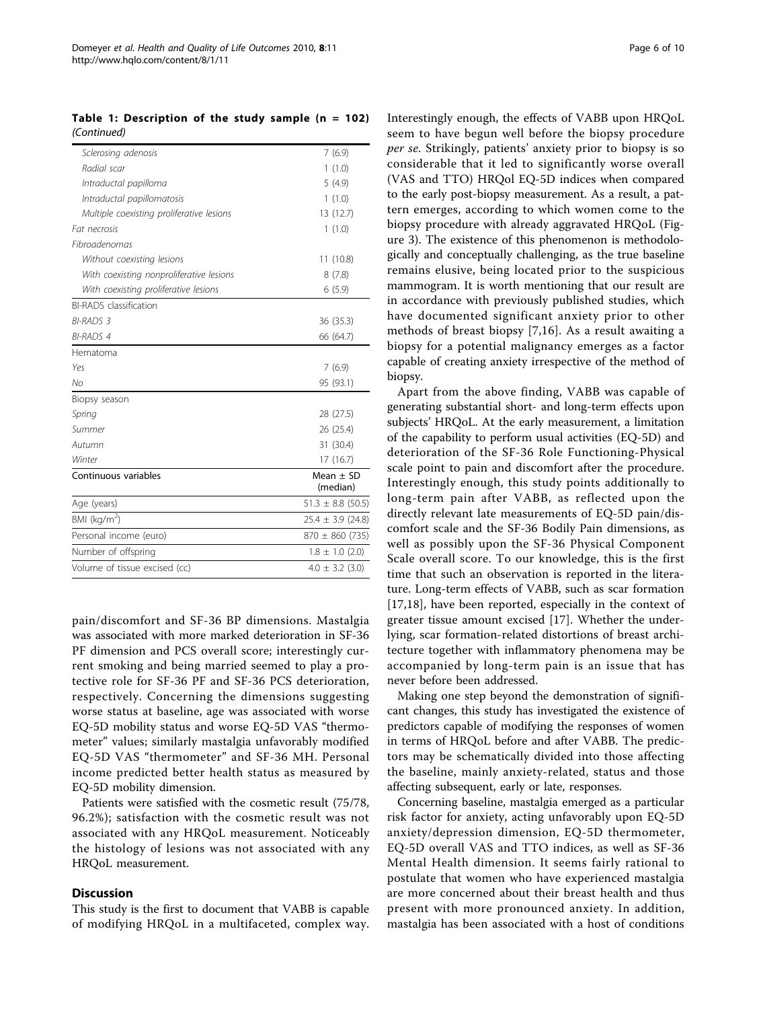Table 1: Description of the study sample  $(n = 102)$ (Continued)

| Sclerosing adenosis                       | 7(6.9)                    |
|-------------------------------------------|---------------------------|
| Radial scar                               | 1(1.0)                    |
| Intraductal papilloma                     | 5(4.9)                    |
| Intraductal papillomatosis                | 1(1.0)                    |
| Multiple coexisting proliferative lesions | 13 (12.7)                 |
| Fat necrosis                              | 1(1.0)                    |
| Fibroadenomas                             |                           |
| Without coexisting lesions                | 11 (10.8)                 |
| With coexisting nonproliferative lesions  | 8(7.8)                    |
| With coexisting proliferative lesions     | 6(5.9)                    |
| <b>BI-RADS</b> classification             |                           |
| <b>BI-RADS 3</b>                          | 36 (35.3)                 |
| <b>BI-RADS 4</b>                          | 66 (64.7)                 |
| Hematoma                                  |                           |
| Yes                                       | 7(6.9)                    |
| No                                        | 95 (93.1)                 |
| Biopsy season                             |                           |
| Spring                                    | 28 (27.5)                 |
| Summer                                    | 26 (25.4)                 |
| Autumn                                    | 31 (30.4)                 |
| Winter                                    | 17 (16.7)                 |
| Continuous variables                      | Mean $\pm$ SD<br>(median) |
| Age (years)                               | $51.3 \pm 8.8$ (50.5)     |
| BMI ( $kg/m2$ )                           | $25.4 \pm 3.9$ (24.8)     |
| Personal income (euro)                    | $870 \pm 860$ (735)       |
| Number of offspring                       | $1.8 \pm 1.0$ (2.0)       |
| Volume of tissue excised (cc)             | $4.0 \pm 3.2$ (3.0)       |
|                                           |                           |

pain/discomfort and SF-36 BP dimensions. Mastalgia was associated with more marked deterioration in SF-36 PF dimension and PCS overall score; interestingly current smoking and being married seemed to play a protective role for SF-36 PF and SF-36 PCS deterioration, respectively. Concerning the dimensions suggesting worse status at baseline, age was associated with worse EQ-5D mobility status and worse EQ-5D VAS "thermometer" values; similarly mastalgia unfavorably modified EQ-5D VAS "thermometer" and SF-36 MH. Personal income predicted better health status as measured by EQ-5D mobility dimension.

Patients were satisfied with the cosmetic result (75/78, 96.2%); satisfaction with the cosmetic result was not associated with any HRQoL measurement. Noticeably the histology of lesions was not associated with any HRQoL measurement.

#### **Discussion**

This study is the first to document that VABB is capable of modifying HRQoL in a multifaceted, complex way. Interestingly enough, the effects of VABB upon HRQoL seem to have begun well before the biopsy procedure per se. Strikingly, patients' anxiety prior to biopsy is so considerable that it led to significantly worse overall (VAS and TTO) HRQol EQ-5D indices when compared to the early post-biopsy measurement. As a result, a pattern emerges, according to which women come to the biopsy procedure with already aggravated HRQoL (Figure [3](#page-8-0)). The existence of this phenomenon is methodologically and conceptually challenging, as the true baseline remains elusive, being located prior to the suspicious mammogram. It is worth mentioning that our result are in accordance with previously published studies, which have documented significant anxiety prior to other methods of breast biopsy [[7,16\]](#page-9-0). As a result awaiting a biopsy for a potential malignancy emerges as a factor capable of creating anxiety irrespective of the method of biopsy.

Apart from the above finding, VABB was capable of generating substantial short- and long-term effects upon subjects' HRQoL. At the early measurement, a limitation of the capability to perform usual activities (EQ-5D) and deterioration of the SF-36 Role Functioning-Physical scale point to pain and discomfort after the procedure. Interestingly enough, this study points additionally to long-term pain after VABB, as reflected upon the directly relevant late measurements of EQ-5D pain/discomfort scale and the SF-36 Bodily Pain dimensions, as well as possibly upon the SF-36 Physical Component Scale overall score. To our knowledge, this is the first time that such an observation is reported in the literature. Long-term effects of VABB, such as scar formation [[17,18](#page-9-0)], have been reported, especially in the context of greater tissue amount excised [[17](#page-9-0)]. Whether the underlying, scar formation-related distortions of breast architecture together with inflammatory phenomena may be accompanied by long-term pain is an issue that has never before been addressed.

Making one step beyond the demonstration of significant changes, this study has investigated the existence of predictors capable of modifying the responses of women in terms of HRQoL before and after VABB. The predictors may be schematically divided into those affecting the baseline, mainly anxiety-related, status and those affecting subsequent, early or late, responses.

Concerning baseline, mastalgia emerged as a particular risk factor for anxiety, acting unfavorably upon EQ-5D anxiety/depression dimension, EQ-5D thermometer, EQ-5D overall VAS and TTO indices, as well as SF-36 Mental Health dimension. It seems fairly rational to postulate that women who have experienced mastalgia are more concerned about their breast health and thus present with more pronounced anxiety. In addition, mastalgia has been associated with a host of conditions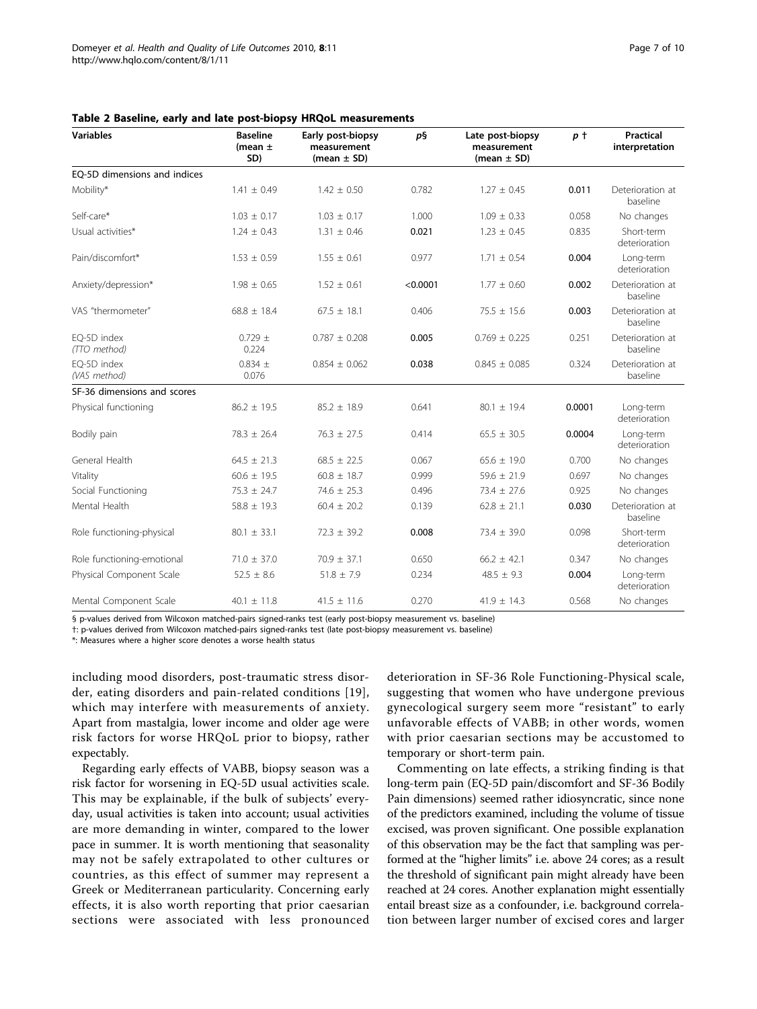<span id="page-6-0"></span>

| Table 2 Baseline, early and late post-biopsy HRQoL measurements |  |  |  |  |
|-----------------------------------------------------------------|--|--|--|--|
|-----------------------------------------------------------------|--|--|--|--|

| <b>Variables</b>             | <b>Baseline</b><br>(mean $\pm$<br>SD) | Early post-biopsy<br>measurement<br>(mean $\pm$ SD) | p§       | Late post-biopsy<br>measurement<br>(mean $\pm$ SD) | p t    | <b>Practical</b><br>interpretation |
|------------------------------|---------------------------------------|-----------------------------------------------------|----------|----------------------------------------------------|--------|------------------------------------|
| EO-5D dimensions and indices |                                       |                                                     |          |                                                    |        |                                    |
| Mobility*                    | $1.41 \pm 0.49$                       | $1.42 \pm 0.50$                                     | 0.782    | $1.27 \pm 0.45$                                    | 0.011  | Deterioration at<br>baseline       |
| Self-care*                   | $1.03 \pm 0.17$                       | $1.03 \pm 0.17$                                     | 1.000    | $1.09 \pm 0.33$                                    | 0.058  | No changes                         |
| Usual activities*            | $1.24 \pm 0.43$                       | $1.31 \pm 0.46$                                     | 0.021    | $1.23 \pm 0.45$                                    | 0.835  | Short-term<br>deterioration        |
| Pain/discomfort*             | $1.53 \pm 0.59$                       | $1.55 \pm 0.61$                                     | 0.977    | $1.71 \pm 0.54$                                    | 0.004  | Long-term<br>deterioration         |
| Anxiety/depression*          | $1.98 \pm 0.65$                       | $1.52 \pm 0.61$                                     | < 0.0001 | $1.77 \pm 0.60$                                    | 0.002  | Deterioration at<br>baseline       |
| VAS "thermometer"            | $68.8 \pm 18.4$                       | $67.5 \pm 18.1$                                     | 0.406    | $75.5 \pm 15.6$                                    | 0.003  | Deterioration at<br>baseline       |
| EO-5D index<br>(TTO method)  | $0.729 \pm$<br>0.224                  | $0.787 \pm 0.208$                                   | 0.005    | $0.769 \pm 0.225$                                  | 0.251  | Deterioration at<br>baseline       |
| EO-5D index<br>(VAS method)  | $0.834 \pm$<br>0.076                  | $0.854 \pm 0.062$                                   | 0.038    | $0.845 \pm 0.085$                                  | 0.324  | Deterioration at<br>baseline       |
| SF-36 dimensions and scores  |                                       |                                                     |          |                                                    |        |                                    |
| Physical functioning         | $86.2 \pm 19.5$                       | $85.2 \pm 18.9$                                     | 0.641    | $80.1 \pm 19.4$                                    | 0.0001 | Long-term<br>deterioration         |
| Bodily pain                  | $78.3 \pm 26.4$                       | $76.3 \pm 27.5$                                     | 0.414    | $65.5 \pm 30.5$                                    | 0.0004 | Long-term<br>deterioration         |
| General Health               | $64.5 \pm 21.3$                       | $68.5 \pm 22.5$                                     | 0.067    | $65.6 \pm 19.0$                                    | 0.700  | No changes                         |
| Vitality                     | $60.6 \pm 19.5$                       | $60.8 \pm 18.7$                                     | 0.999    | $59.6 \pm 21.9$                                    | 0.697  | No changes                         |
| Social Functioning           | $75.3 \pm 24.7$                       | $74.6 \pm 25.3$                                     | 0.496    | $73.4 \pm 27.6$                                    | 0.925  | No changes                         |
| Mental Health                | $58.8 \pm 19.3$                       | $60.4 \pm 20.2$                                     | 0.139    | $62.8 \pm 21.1$                                    | 0.030  | Deterioration at<br>baseline       |
| Role functioning-physical    | $80.1 \pm 33.1$                       | $72.3 \pm 39.2$                                     | 0.008    | $73.4 \pm 39.0$                                    | 0.098  | Short-term<br>deterioration        |
| Role functioning-emotional   | $71.0 \pm 37.0$                       | $70.9 \pm 37.1$                                     | 0.650    | $66.2 \pm 42.1$                                    | 0.347  | No changes                         |
| Physical Component Scale     | $52.5 \pm 8.6$                        | $51.8 \pm 7.9$                                      | 0.234    | $48.5 \pm 9.3$                                     | 0.004  | Long-term<br>deterioration         |
| Mental Component Scale       | $40.1 \pm 11.8$                       | $41.5 \pm 11.6$                                     | 0.270    | $41.9 \pm 14.3$                                    | 0.568  | No changes                         |

§ p-values derived from Wilcoxon matched-pairs signed-ranks test (early post-biopsy measurement vs. baseline)

†: p-values derived from Wilcoxon matched-pairs signed-ranks test (late post-biopsy measurement vs. baseline)

\*: Measures where a higher score denotes a worse health status

including mood disorders, post-traumatic stress disorder, eating disorders and pain-related conditions [[19\]](#page-9-0), which may interfere with measurements of anxiety. Apart from mastalgia, lower income and older age were risk factors for worse HRQoL prior to biopsy, rather expectably.

Regarding early effects of VABB, biopsy season was a risk factor for worsening in EQ-5D usual activities scale. This may be explainable, if the bulk of subjects' everyday, usual activities is taken into account; usual activities are more demanding in winter, compared to the lower pace in summer. It is worth mentioning that seasonality may not be safely extrapolated to other cultures or countries, as this effect of summer may represent a Greek or Mediterranean particularity. Concerning early effects, it is also worth reporting that prior caesarian sections were associated with less pronounced

deterioration in SF-36 Role Functioning-Physical scale, suggesting that women who have undergone previous gynecological surgery seem more "resistant" to early unfavorable effects of VABB; in other words, women with prior caesarian sections may be accustomed to temporary or short-term pain.

Commenting on late effects, a striking finding is that long-term pain (EQ-5D pain/discomfort and SF-36 Bodily Pain dimensions) seemed rather idiosyncratic, since none of the predictors examined, including the volume of tissue excised, was proven significant. One possible explanation of this observation may be the fact that sampling was performed at the "higher limits" i.e. above 24 cores; as a result the threshold of significant pain might already have been reached at 24 cores. Another explanation might essentially entail breast size as a confounder, i.e. background correlation between larger number of excised cores and larger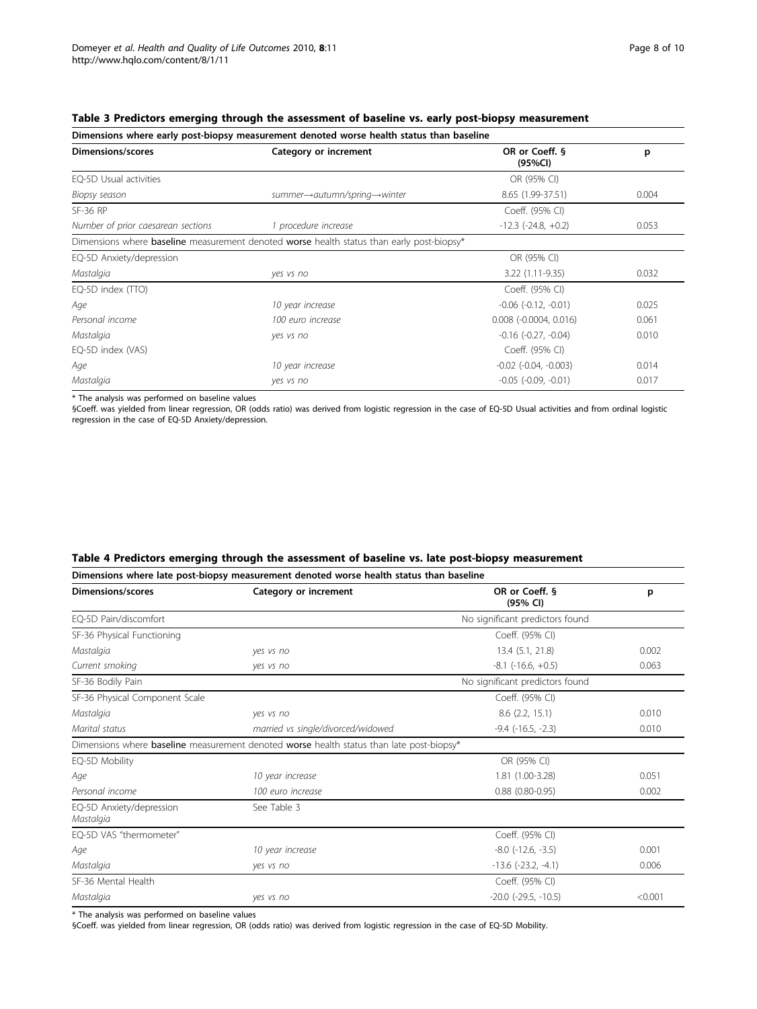<span id="page-7-0"></span>

|  |  | Table 3 Predictors emerging through the assessment of baseline vs. early post-biopsy measurement |
|--|--|--------------------------------------------------------------------------------------------------|
|--|--|--------------------------------------------------------------------------------------------------|

| Dimensions where early post-biopsy measurement denoted worse health status than baseline |                                                                                                         |                            |       |  |  |
|------------------------------------------------------------------------------------------|---------------------------------------------------------------------------------------------------------|----------------------------|-------|--|--|
| Dimensions/scores                                                                        | Category or increment                                                                                   | OR or Coeff. §<br>(95%CI)  | p     |  |  |
| EQ-5D Usual activities                                                                   |                                                                                                         | OR (95% CI)                |       |  |  |
| Biopsy season                                                                            | summer→autumn/spring→winter                                                                             | 8.65 (1.99-37.51)          | 0.004 |  |  |
| SF-36 RP                                                                                 |                                                                                                         | Coeff. (95% CI)            |       |  |  |
| Number of prior caesarean sections                                                       | 1 procedure increase                                                                                    | $-12.3$ $(-24.8, +0.2)$    | 0.053 |  |  |
|                                                                                          | Dimensions where <b>baseline</b> measurement denoted <b>worse</b> health status than early post-biopsy* |                            |       |  |  |
| EQ-5D Anxiety/depression                                                                 |                                                                                                         | OR (95% CI)                |       |  |  |
| Mastalgia                                                                                | yes vs no                                                                                               | 3.22 (1.11-9.35)           | 0.032 |  |  |
| EQ-5D index (TTO)                                                                        |                                                                                                         | Coeff. (95% CI)            |       |  |  |
| Age                                                                                      | 10 year increase                                                                                        | $-0.06$ $(-0.12, -0.01)$   | 0.025 |  |  |
| Personal income                                                                          | 100 euro increase                                                                                       | $0.008$ $(-0.0004, 0.016)$ | 0.061 |  |  |
| Mastalgia                                                                                | yes vs no                                                                                               | $-0.16$ $(-0.27, -0.04)$   | 0.010 |  |  |
| EQ-5D index (VAS)                                                                        |                                                                                                         | Coeff. (95% CI)            |       |  |  |
| Age                                                                                      | 10 year increase                                                                                        | $-0.02$ $(-0.04, -0.003)$  | 0.014 |  |  |
| Mastalgia                                                                                | yes vs no                                                                                               | $-0.05$ $(-0.09, -0.01)$   | 0.017 |  |  |

\* The analysis was performed on baseline values

§Coeff. was yielded from linear regression, OR (odds ratio) was derived from logistic regression in the case of EQ-5D Usual activities and from ordinal logistic regression in the case of EQ-5D Anxiety/depression.

## Table 4 Predictors emerging through the assessment of baseline vs. late post-biopsy measurement

| Dimensions where late post-biopsy measurement denoted worse health status than baseline |                                                                                                 |                                 |         |  |  |  |
|-----------------------------------------------------------------------------------------|-------------------------------------------------------------------------------------------------|---------------------------------|---------|--|--|--|
| <b>Dimensions/scores</b>                                                                | Category or increment                                                                           | OR or Coeff. §<br>(95% CI)      | p       |  |  |  |
| EQ-5D Pain/discomfort                                                                   |                                                                                                 | No significant predictors found |         |  |  |  |
| SF-36 Physical Functioning                                                              |                                                                                                 | Coeff. (95% CI)                 |         |  |  |  |
| Mastalgia                                                                               | yes vs no                                                                                       | 13.4 (5.1, 21.8)                | 0.002   |  |  |  |
| Current smoking                                                                         | yes vs no                                                                                       | $-8.1$ ( $-16.6$ , $+0.5$ )     | 0.063   |  |  |  |
| SF-36 Bodily Pain                                                                       |                                                                                                 | No significant predictors found |         |  |  |  |
| SF-36 Physical Component Scale                                                          |                                                                                                 | Coeff. (95% CI)                 |         |  |  |  |
| Mastalgia                                                                               | yes vs no                                                                                       | $8.6$ (2.2, 15.1)               | 0.010   |  |  |  |
| Marital status                                                                          | married vs single/divorced/widowed                                                              | $-9.4$ $(-16.5, -2.3)$          | 0.010   |  |  |  |
|                                                                                         | Dimensions where <b>baseline</b> measurement denoted worse health status than late post-biopsy* |                                 |         |  |  |  |
| EQ-5D Mobility                                                                          |                                                                                                 | OR (95% CI)                     |         |  |  |  |
| Age                                                                                     | 10 year increase                                                                                | 1.81 (1.00-3.28)                | 0.051   |  |  |  |
| Personal income                                                                         | 100 euro increase                                                                               | $0.88$ $(0.80 - 0.95)$          | 0.002   |  |  |  |
| EQ-5D Anxiety/depression<br>Mastalgia                                                   | See Table 3                                                                                     |                                 |         |  |  |  |
| EO-5D VAS "thermometer"                                                                 |                                                                                                 | Coeff. (95% CI)                 |         |  |  |  |
| Age                                                                                     | 10 year increase                                                                                | $-8.0$ $(-12.6, -3.5)$          | 0.001   |  |  |  |
| Mastalgia                                                                               | yes vs no                                                                                       | $-13.6$ $(-23.2, -4.1)$         | 0.006   |  |  |  |
| SF-36 Mental Health                                                                     |                                                                                                 | Coeff. (95% CI)                 |         |  |  |  |
| Mastalgia                                                                               | yes vs no                                                                                       | $-20.0$ $(-29.5, -10.5)$        | < 0.001 |  |  |  |

\* The analysis was performed on baseline values

§Coeff. was yielded from linear regression, OR (odds ratio) was derived from logistic regression in the case of EQ-5D Mobility.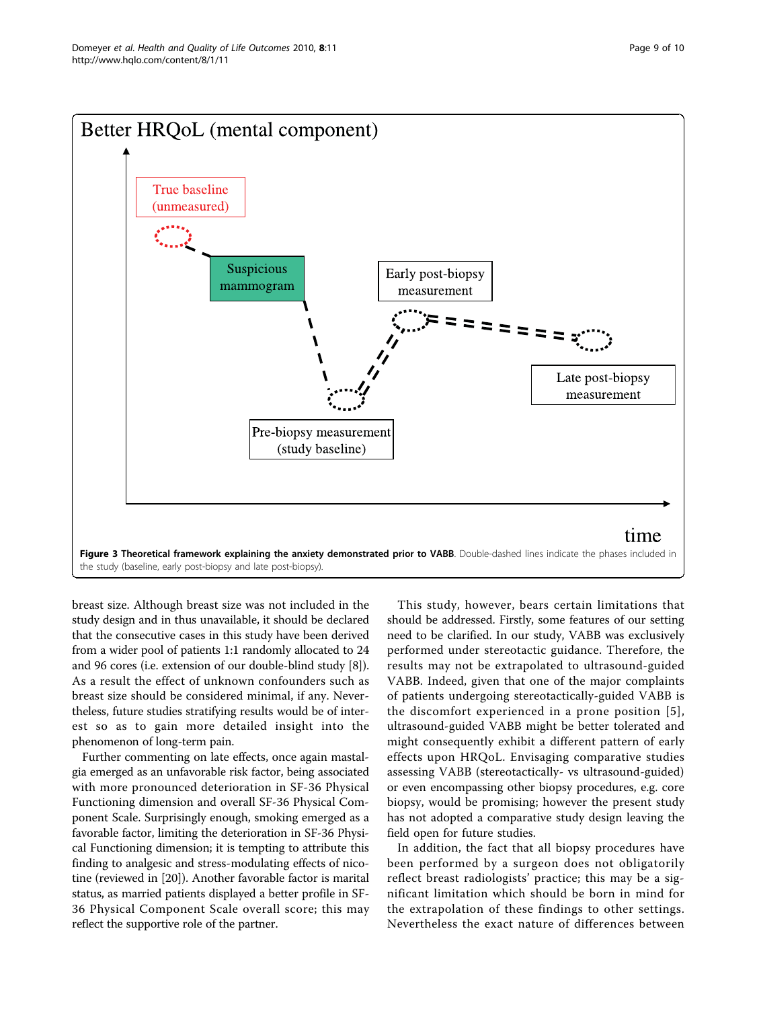<span id="page-8-0"></span>

breast size. Although breast size was not included in the study design and in thus unavailable, it should be declared that the consecutive cases in this study have been derived from a wider pool of patients 1:1 randomly allocated to 24 and 96 cores (i.e. extension of our double-blind study [\[8](#page-9-0)]). As a result the effect of unknown confounders such as breast size should be considered minimal, if any. Nevertheless, future studies stratifying results would be of interest so as to gain more detailed insight into the phenomenon of long-term pain.

Further commenting on late effects, once again mastalgia emerged as an unfavorable risk factor, being associated with more pronounced deterioration in SF-36 Physical Functioning dimension and overall SF-36 Physical Component Scale. Surprisingly enough, smoking emerged as a favorable factor, limiting the deterioration in SF-36 Physical Functioning dimension; it is tempting to attribute this finding to analgesic and stress-modulating effects of nicotine (reviewed in [\[20\]](#page-9-0)). Another favorable factor is marital status, as married patients displayed a better profile in SF-36 Physical Component Scale overall score; this may reflect the supportive role of the partner.

This study, however, bears certain limitations that should be addressed. Firstly, some features of our setting need to be clarified. In our study, VABB was exclusively performed under stereotactic guidance. Therefore, the results may not be extrapolated to ultrasound-guided VABB. Indeed, given that one of the major complaints of patients undergoing stereotactically-guided VABB is the discomfort experienced in a prone position [[5\]](#page-9-0), ultrasound-guided VABB might be better tolerated and might consequently exhibit a different pattern of early effects upon HRQoL. Envisaging comparative studies assessing VABB (stereotactically- vs ultrasound-guided) or even encompassing other biopsy procedures, e.g. core biopsy, would be promising; however the present study has not adopted a comparative study design leaving the field open for future studies.

In addition, the fact that all biopsy procedures have been performed by a surgeon does not obligatorily reflect breast radiologists' practice; this may be a significant limitation which should be born in mind for the extrapolation of these findings to other settings. Nevertheless the exact nature of differences between